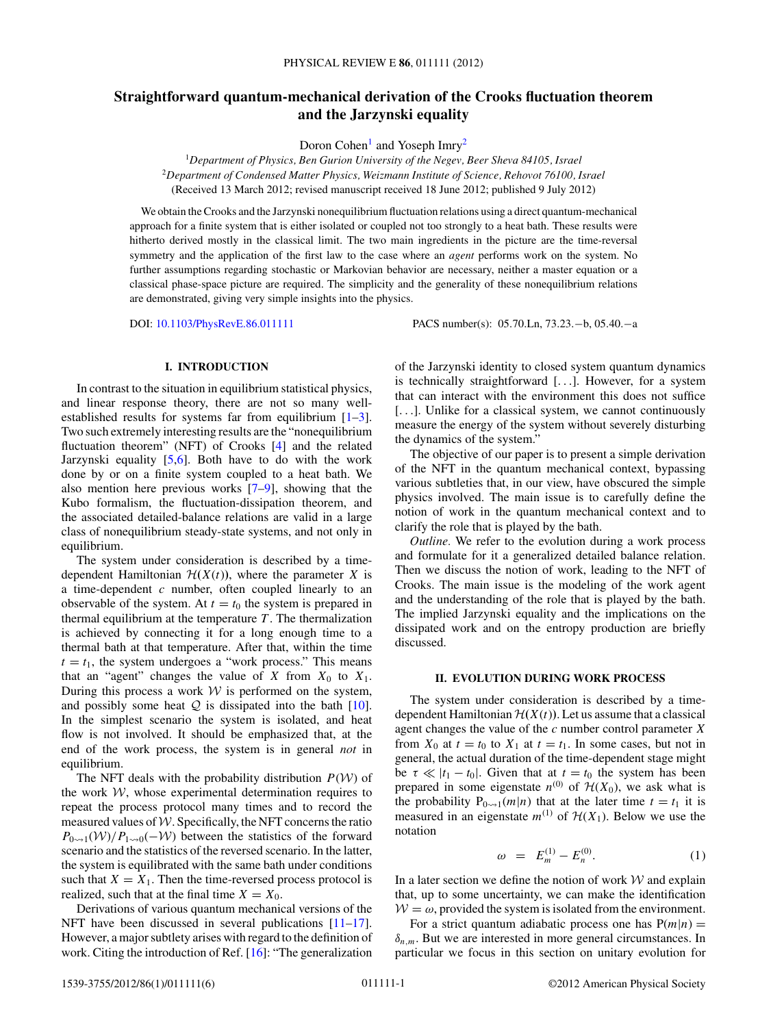# **Straightforward quantum-mechanical derivation of the Crooks fluctuation theorem and the Jarzynski equality**

Doron Cohen<sup>1</sup> and Yoseph Imry<sup>2</sup>

<sup>1</sup>*Department of Physics, Ben Gurion University of the Negev, Beer Sheva 84105, Israel* <sup>2</sup>*Department of Condensed Matter Physics, Weizmann Institute of Science, Rehovot 76100, Israel* (Received 13 March 2012; revised manuscript received 18 June 2012; published 9 July 2012)

We obtain the Crooks and the Jarzynski nonequilibrium fluctuation relations using a direct quantum-mechanical approach for a finite system that is either isolated or coupled not too strongly to a heat bath. These results were hitherto derived mostly in the classical limit. The two main ingredients in the picture are the time-reversal symmetry and the application of the first law to the case where an *agent* performs work on the system. No further assumptions regarding stochastic or Markovian behavior are necessary, neither a master equation or a classical phase-space picture are required. The simplicity and the generality of these nonequilibrium relations are demonstrated, giving very simple insights into the physics.

DOI: [10.1103/PhysRevE.86.011111](http://dx.doi.org/10.1103/PhysRevE.86.011111) PACS number(s): 05*.*70*.*Ln, 73*.*23*.*−b, 05*.*40*.*−a

# **I. INTRODUCTION**

In contrast to the situation in equilibrium statistical physics, and linear response theory, there are not so many wellestablished results for systems far from equilibrium  $[1-3]$ . Two such extremely interesting results are the "nonequilibrium fluctuation theorem" (NFT) of Crooks [\[4\]](#page-5-0) and the related Jarzynski equality  $[5,6]$ . Both have to do with the work done by or on a finite system coupled to a heat bath. We also mention here previous works  $[7-9]$ , showing that the Kubo formalism, the fluctuation-dissipation theorem, and the associated detailed-balance relations are valid in a large class of nonequilibrium steady-state systems, and not only in equilibrium.

The system under consideration is described by a timedependent Hamiltonian  $\mathcal{H}(X(t))$ , where the parameter *X* is a time-dependent *c* number, often coupled linearly to an observable of the system. At  $t = t_0$  the system is prepared in thermal equilibrium at the temperature *T* . The thermalization is achieved by connecting it for a long enough time to a thermal bath at that temperature. After that, within the time  $t = t_1$ , the system undergoes a "work process." This means that an "agent" changes the value of  $X$  from  $X_0$  to  $X_1$ . During this process a work  $W$  is performed on the system, and possibly some heat  $Q$  is dissipated into the bath  $[10]$ . In the simplest scenario the system is isolated, and heat flow is not involved. It should be emphasized that, at the end of the work process, the system is in general *not* in equilibrium.

The NFT deals with the probability distribution  $P(W)$  of the work  $W$ , whose experimental determination requires to repeat the process protocol many times and to record the measured values of  $W$ . Specifically, the NFT concerns the ratio  $P_{0 \sim 1}(W)/P_{1 \sim 0}(-W)$  between the statistics of the forward scenario and the statistics of the reversed scenario. In the latter, the system is equilibrated with the same bath under conditions such that  $X = X_1$ . Then the time-reversed process protocol is realized, such that at the final time  $X = X_0$ .

Derivations of various quantum mechanical versions of the NFT have been discussed in several publications [\[11–17\]](#page-5-0). However, a major subtlety arises with regard to the definition of work. Citing the introduction of Ref. [\[16\]](#page-5-0): "The generalization

of the Jarzynski identity to closed system quantum dynamics is technically straightforward [*...*]. However, for a system that can interact with the environment this does not suffice [*...*]. Unlike for a classical system, we cannot continuously measure the energy of the system without severely disturbing the dynamics of the system."

The objective of our paper is to present a simple derivation of the NFT in the quantum mechanical context, bypassing various subtleties that, in our view, have obscured the simple physics involved. The main issue is to carefully define the notion of work in the quantum mechanical context and to clarify the role that is played by the bath.

*Outline.* We refer to the evolution during a work process and formulate for it a generalized detailed balance relation. Then we discuss the notion of work, leading to the NFT of Crooks. The main issue is the modeling of the work agent and the understanding of the role that is played by the bath. The implied Jarzynski equality and the implications on the dissipated work and on the entropy production are briefly discussed.

### **II. EVOLUTION DURING WORK PROCESS**

The system under consideration is described by a timedependent Hamiltonian  $H(X(t))$ . Let us assume that a classical agent changes the value of the *c* number control parameter *X* from  $X_0$  at  $t = t_0$  to  $X_1$  at  $t = t_1$ . In some cases, but not in general, the actual duration of the time-dependent stage might be  $\tau \ll |t_1 - t_0|$ . Given that at  $t = t_0$  the system has been prepared in some eigenstate  $n^{(0)}$  of  $H(X_0)$ , we ask what is the probability  $P_{0\rightarrow 1}(m|n)$  that at the later time  $t = t_1$  it is measured in an eigenstate  $m^{(1)}$  of  $\mathcal{H}(X_1)$ . Below we use the notation

$$
\omega = E_m^{(1)} - E_n^{(0)}.\tag{1}
$$

In a later section we define the notion of work  $W$  and explain that, up to some uncertainty, we can make the identification  $W = \omega$ , provided the system is isolated from the environment.

For a strict quantum adiabatic process one has  $P(m|n) =$ *δn,m*. But we are interested in more general circumstances. In particular we focus in this section on unitary evolution for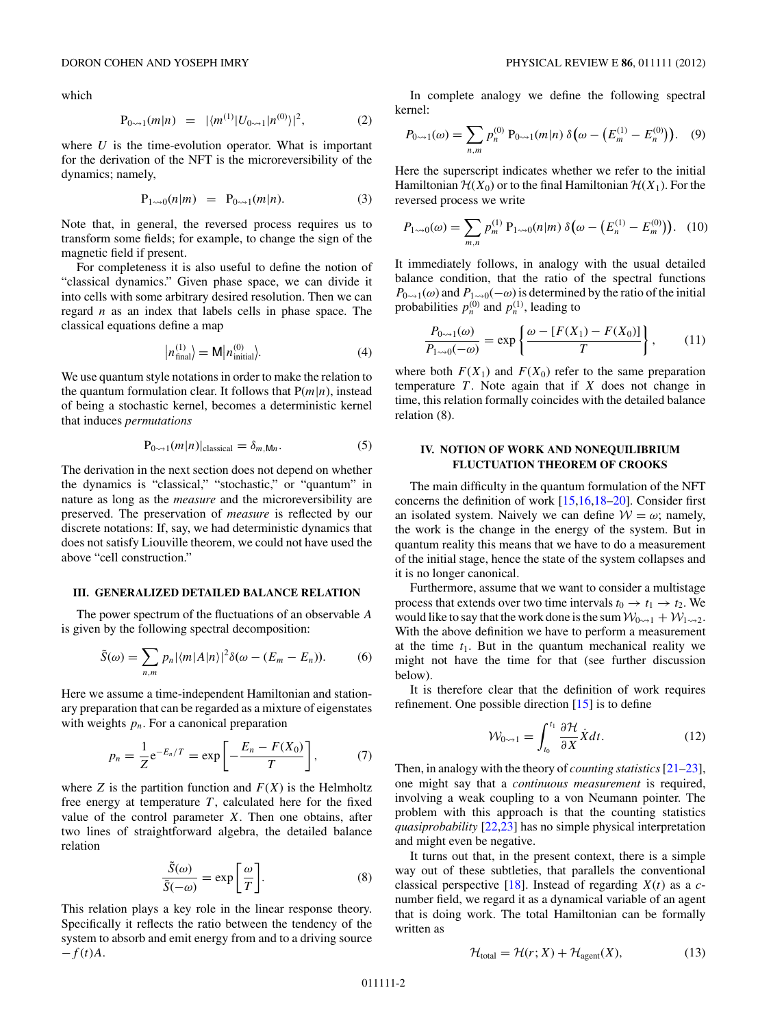<span id="page-1-0"></span>which

$$
P_{0\leadsto 1}(m|n) = |\langle m^{(1)}|U_{0\leadsto 1}|n^{(0)}\rangle|^2, \tag{2}
$$

where  $U$  is the time-evolution operator. What is important for the derivation of the NFT is the microreversibility of the dynamics; namely,

$$
P_{1\leadsto 0}(n|m) = P_{0\leadsto 1}(m|n). \tag{3}
$$

Note that, in general, the reversed process requires us to transform some fields; for example, to change the sign of the magnetic field if present.

For completeness it is also useful to define the notion of "classical dynamics." Given phase space, we can divide it into cells with some arbitrary desired resolution. Then we can regard *n* as an index that labels cells in phase space. The classical equations define a map

$$
|n_{\text{final}}^{(1)}\rangle = \mathsf{M}|n_{\text{initial}}^{(0)}\rangle. \tag{4}
$$

We use quantum style notations in order to make the relation to the quantum formulation clear. It follows that  $P(m|n)$ , instead of being a stochastic kernel, becomes a deterministic kernel that induces *permutations*

$$
P_{0\leadsto 1}(m|n)|_{\text{classical}} = \delta_{m,\text{M}n}.\tag{5}
$$

The derivation in the next section does not depend on whether the dynamics is "classical," "stochastic," or "quantum" in nature as long as the *measure* and the microreversibility are preserved. The preservation of *measure* is reflected by our discrete notations: If, say, we had deterministic dynamics that does not satisfy Liouville theorem, we could not have used the above "cell construction."

# **III. GENERALIZED DETAILED BALANCE RELATION**

The power spectrum of the fluctuations of an observable *A* is given by the following spectral decomposition:

$$
\tilde{S}(\omega) = \sum_{n,m} p_n |\langle m|A|n\rangle|^2 \delta(\omega - (E_m - E_n)).\tag{6}
$$

Here we assume a time-independent Hamiltonian and stationary preparation that can be regarded as a mixture of eigenstates with weights  $p_n$ . For a canonical preparation

$$
p_n = \frac{1}{Z} e^{-E_n/T} = \exp\left[-\frac{E_n - F(X_0)}{T}\right],
$$
 (7)

where *Z* is the partition function and  $F(X)$  is the Helmholtz free energy at temperature  $T$ , calculated here for the fixed value of the control parameter *X*. Then one obtains, after two lines of straightforward algebra, the detailed balance relation

$$
\frac{\tilde{S}(\omega)}{\tilde{S}(-\omega)} = \exp\left[\frac{\omega}{T}\right].\tag{8}
$$

This relation plays a key role in the linear response theory. Specifically it reflects the ratio between the tendency of the system to absorb and emit energy from and to a driving source  $-f(t)A$ .

In complete analogy we define the following spectral kernel:

$$
P_{0\leadsto 1}(\omega) = \sum_{n,m} p_n^{(0)} P_{0\leadsto 1}(m|n) \, \delta\big(\omega - \big(E_m^{(1)} - E_n^{(0)}\big)\big). \tag{9}
$$

Here the superscript indicates whether we refer to the initial Hamiltonian  $\mathcal{H}(X_0)$  or to the final Hamiltonian  $\mathcal{H}(X_1)$ . For the reversed process we write

$$
P_{1\sim 0}(\omega) = \sum_{m,n} p_m^{(1)} P_{1\sim 0}(n|m) \, \delta\big(\omega - \big(E_n^{(1)} - E_m^{(0)}\big)\big). \tag{10}
$$

It immediately follows, in analogy with the usual detailed balance condition, that the ratio of the spectral functions  $P_{0\rightarrow 1}(\omega)$  and  $P_{1\rightarrow 0}(-\omega)$  is determined by the ratio of the initial probabilities  $p_n^{(0)}$  and  $p_n^{(1)}$ , leading to

$$
\frac{P_{0\leadsto 1}(\omega)}{P_{1\leadsto 0}(-\omega)} = \exp\left\{\frac{\omega - [F(X_1) - F(X_0)]}{T}\right\},\qquad(11)
$$

where both  $F(X_1)$  and  $F(X_0)$  refer to the same preparation temperature  $T$ . Note again that if  $X$  does not change in time, this relation formally coincides with the detailed balance relation (8).

# **IV. NOTION OF WORK AND NONEQUILIBRIUM FLUCTUATION THEOREM OF CROOKS**

The main difficulty in the quantum formulation of the NFT concerns the definition of work [\[15,16,18–20\]](#page-5-0). Consider first an isolated system. Naively we can define  $W = \omega$ ; namely, the work is the change in the energy of the system. But in quantum reality this means that we have to do a measurement of the initial stage, hence the state of the system collapses and it is no longer canonical.

Furthermore, assume that we want to consider a multistage process that extends over two time intervals  $t_0 \rightarrow t_1 \rightarrow t_2$ . We would like to say that the work done is the sum  $\mathcal{W}_{0 \rightarrow 1} + \mathcal{W}_{1 \rightarrow 2}$ . With the above definition we have to perform a measurement at the time  $t_1$ . But in the quantum mechanical reality we might not have the time for that (see further discussion below).

It is therefore clear that the definition of work requires refinement. One possible direction [\[15\]](#page-5-0) is to define

$$
\mathcal{W}_{0 \to 1} = \int_{t_0}^{t_1} \frac{\partial \mathcal{H}}{\partial X} \dot{X} dt.
$$
 (12)

Then, in analogy with the theory of *counting statistics*[\[21–23\]](#page-5-0), one might say that a *continuous measurement* is required, involving a weak coupling to a von Neumann pointer. The problem with this approach is that the counting statistics *quasiprobability* [\[22,23\]](#page-5-0) has no simple physical interpretation and might even be negative.

It turns out that, in the present context, there is a simple way out of these subtleties, that parallels the conventional classical perspective [\[18\]](#page-5-0). Instead of regarding *X*(*t*) as a *c*number field, we regard it as a dynamical variable of an agent that is doing work. The total Hamiltonian can be formally written as

$$
\mathcal{H}_{\text{total}} = \mathcal{H}(r; X) + \mathcal{H}_{\text{agent}}(X),\tag{13}
$$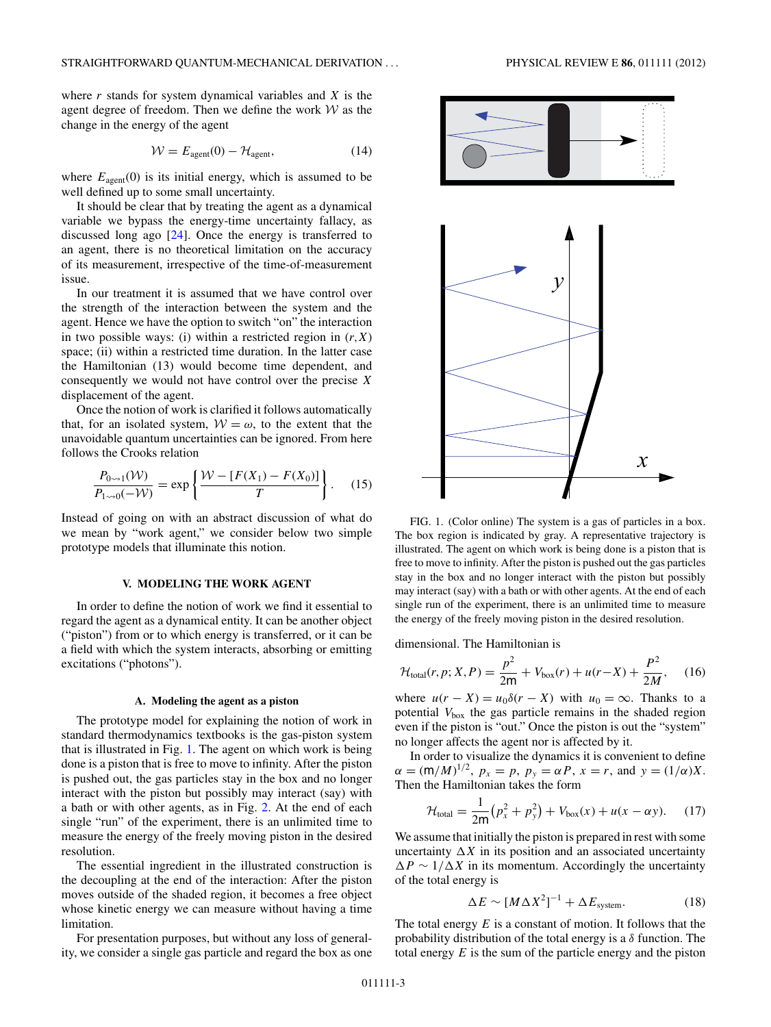<span id="page-2-0"></span>where *r* stands for system dynamical variables and *X* is the agent degree of freedom. Then we define the work  $W$  as the change in the energy of the agent

$$
W = E_{\text{agent}}(0) - \mathcal{H}_{\text{agent}},\tag{14}
$$

where  $E_{\text{agent}}(0)$  is its initial energy, which is assumed to be well defined up to some small uncertainty.

It should be clear that by treating the agent as a dynamical variable we bypass the energy-time uncertainty fallacy, as discussed long ago [\[24\]](#page-5-0). Once the energy is transferred to an agent, there is no theoretical limitation on the accuracy of its measurement, irrespective of the time-of-measurement issue.

In our treatment it is assumed that we have control over the strength of the interaction between the system and the agent. Hence we have the option to switch "on" the interaction in two possible ways: (i) within a restricted region in  $(r, X)$ space; (ii) within a restricted time duration. In the latter case the Hamiltonian (13) would become time dependent, and consequently we would not have control over the precise *X* displacement of the agent.

Once the notion of work is clarified it follows automatically that, for an isolated system,  $W = \omega$ , to the extent that the unavoidable quantum uncertainties can be ignored. From here follows the Crooks relation

$$
\frac{P_{0 \to 1}(W)}{P_{1 \to 0}(-W)} = \exp\left\{\frac{W - [F(X_1) - F(X_0)]}{T}\right\}.
$$
 (15)

Instead of going on with an abstract discussion of what do we mean by "work agent," we consider below two simple prototype models that illuminate this notion.

### **V. MODELING THE WORK AGENT**

In order to define the notion of work we find it essential to regard the agent as a dynamical entity. It can be another object ("piston") from or to which energy is transferred, or it can be a field with which the system interacts, absorbing or emitting excitations ("photons").

#### **A. Modeling the agent as a piston**

The prototype model for explaining the notion of work in standard thermodynamics textbooks is the gas-piston system that is illustrated in Fig. 1. The agent on which work is being done is a piston that is free to move to infinity. After the piston is pushed out, the gas particles stay in the box and no longer interact with the piston but possibly may interact (say) with a bath or with other agents, as in Fig. [2.](#page-3-0) At the end of each single "run" of the experiment, there is an unlimited time to measure the energy of the freely moving piston in the desired resolution.

The essential ingredient in the illustrated construction is the decoupling at the end of the interaction: After the piston moves outside of the shaded region, it becomes a free object whose kinetic energy we can measure without having a time limitation.

For presentation purposes, but without any loss of generality, we consider a single gas particle and regard the box as one





FIG. 1. (Color online) The system is a gas of particles in a box. The box region is indicated by gray. A representative trajectory is illustrated. The agent on which work is being done is a piston that is free to move to infinity. After the piston is pushed out the gas particles stay in the box and no longer interact with the piston but possibly may interact (say) with a bath or with other agents. At the end of each single run of the experiment, there is an unlimited time to measure the energy of the freely moving piston in the desired resolution.

dimensional. The Hamiltonian is

$$
\mathcal{H}_{\text{total}}(r, p; X, P) = \frac{p^2}{2m} + V_{\text{box}}(r) + u(r - X) + \frac{P^2}{2M}, \quad (16)
$$

where  $u(r - X) = u_0 \delta(r - X)$  with  $u_0 = \infty$ . Thanks to a potential  $V_{\text{box}}$  the gas particle remains in the shaded region even if the piston is "out." Once the piston is out the "system" no longer affects the agent nor is affected by it.

In order to visualize the dynamics it is convenient to define  $\alpha = (m/M)^{1/2}, p_x = p, p_y = \alpha P, x = r, \text{ and } y = (1/\alpha)X.$ Then the Hamiltonian takes the form

$$
\mathcal{H}_{\text{total}} = \frac{1}{2m} (p_x^2 + p_y^2) + V_{\text{box}}(x) + u(x - \alpha y). \tag{17}
$$

We assume that initially the piston is prepared in rest with some uncertainty  $\Delta X$  in its position and an associated uncertainty  $\Delta P \sim 1/\Delta X$  in its momentum. Accordingly the uncertainty of the total energy is

$$
\Delta E \sim [M\Delta X^2]^{-1} + \Delta E_{\text{system}}.\tag{18}
$$

The total energy *E* is a constant of motion. It follows that the probability distribution of the total energy is a *δ* function. The total energy *E* is the sum of the particle energy and the piston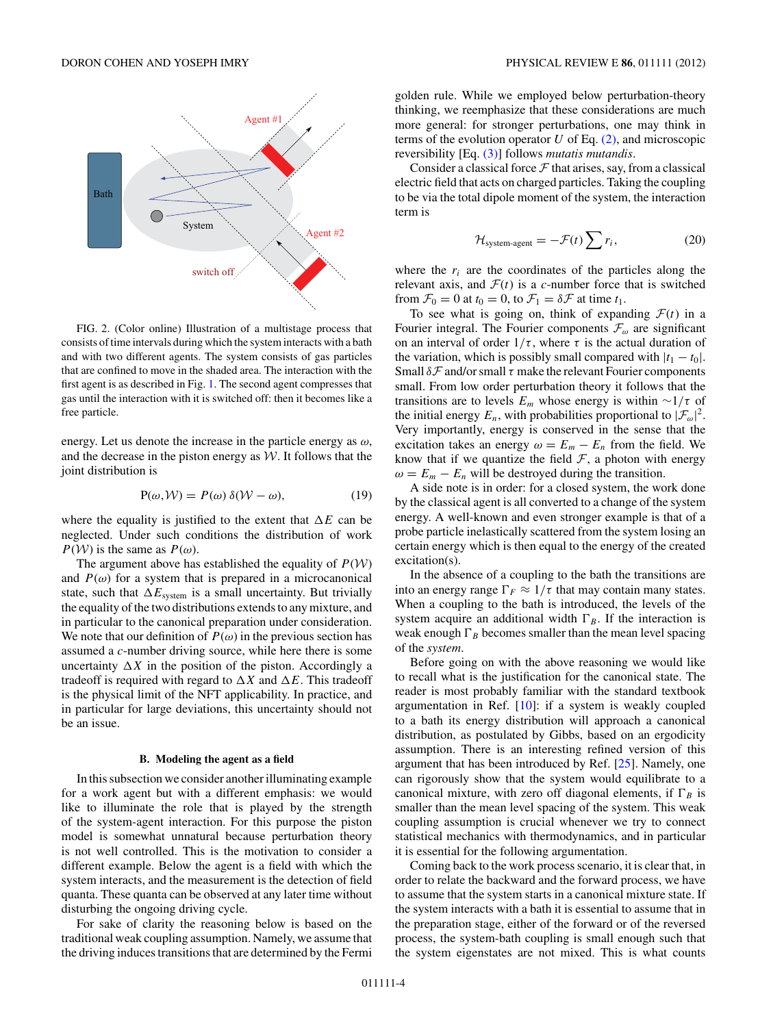<span id="page-3-0"></span>

FIG. 2. (Color online) Illustration of a multistage process that consists of time intervals during which the system interacts with a bath and with two different agents. The system consists of gas particles that are confined to move in the shaded area. The interaction with the first agent is as described in Fig. [1.](#page-2-0) The second agent compresses that gas until the interaction with it is switched off: then it becomes like a free particle.

energy. Let us denote the increase in the particle energy as *ω*, and the decrease in the piston energy as  $W$ . It follows that the joint distribution is

$$
P(\omega, \mathcal{W}) = P(\omega) \,\delta(\mathcal{W} - \omega),\tag{19}
$$

where the equality is justified to the extent that  $\Delta E$  can be neglected. Under such conditions the distribution of work *P*(*W*) is the same as *P*( $\omega$ ).

The argument above has established the equality of  $P(W)$ and  $P(\omega)$  for a system that is prepared in a microcanonical state, such that  $\Delta E_{\text{system}}$  is a small uncertainty. But trivially the equality of the two distributions extends to any mixture, and in particular to the canonical preparation under consideration. We note that our definition of  $P(\omega)$  in the previous section has assumed a *c*-number driving source, while here there is some uncertainty  $\Delta X$  in the position of the piston. Accordingly a tradeoff is required with regard to  $\Delta X$  and  $\Delta E$ . This tradeoff is the physical limit of the NFT applicability. In practice, and in particular for large deviations, this uncertainty should not be an issue.

#### **B. Modeling the agent as a field**

In this subsection we consider another illuminating example for a work agent but with a different emphasis: we would like to illuminate the role that is played by the strength of the system-agent interaction. For this purpose the piston model is somewhat unnatural because perturbation theory is not well controlled. This is the motivation to consider a different example. Below the agent is a field with which the system interacts, and the measurement is the detection of field quanta. These quanta can be observed at any later time without disturbing the ongoing driving cycle.

For sake of clarity the reasoning below is based on the traditional weak coupling assumption. Namely, we assume that the driving induces transitions that are determined by the Fermi

golden rule. While we employed below perturbation-theory thinking, we reemphasize that these considerations are much more general: for stronger perturbations, one may think in terms of the evolution operator *U* of Eq. [\(2\),](#page-1-0) and microscopic reversibility [Eq. [\(3\)\]](#page-1-0) follows *mutatis mutandis*.

Consider a classical force  $\mathcal F$  that arises, say, from a classical electric field that acts on charged particles. Taking the coupling to be via the total dipole moment of the system, the interaction term is

$$
\mathcal{H}_{\text{system-agent}} = -\mathcal{F}(t) \sum r_i,\tag{20}
$$

where the  $r_i$  are the coordinates of the particles along the relevant axis, and  $\mathcal{F}(t)$  is a *c*-number force that is switched from  $\mathcal{F}_0 = 0$  at  $t_0 = 0$ , to  $\mathcal{F}_1 = \delta \mathcal{F}$  at time  $t_1$ .

To see what is going on, think of expanding  $\mathcal{F}(t)$  in a Fourier integral. The Fourier components F*<sup>ω</sup>* are significant on an interval of order  $1/\tau$ , where  $\tau$  is the actual duration of the variation, which is possibly small compared with  $|t_1 - t_0|$ . Small *δ*F and/or small *τ* make the relevant Fourier components small. From low order perturbation theory it follows that the transitions are to levels *Em* whose energy is within ∼1*/τ* of the initial energy  $E_n$ , with probabilities proportional to  $|\mathcal{F}_{\omega}|^2$ . Very importantly, energy is conserved in the sense that the excitation takes an energy  $\omega = E_m - E_n$  from the field. We know that if we quantize the field  $F$ , a photon with energy  $\omega = E_m - E_n$  will be destroyed during the transition.

A side note is in order: for a closed system, the work done by the classical agent is all converted to a change of the system energy. A well-known and even stronger example is that of a probe particle inelastically scattered from the system losing an certain energy which is then equal to the energy of the created excitation(s).

In the absence of a coupling to the bath the transitions are into an energy range  $\Gamma_F \approx 1/\tau$  that may contain many states. When a coupling to the bath is introduced, the levels of the system acquire an additional width  $\Gamma_B$ . If the interaction is weak enough  $\Gamma_B$  becomes smaller than the mean level spacing of the *system*.

Before going on with the above reasoning we would like to recall what is the justification for the canonical state. The reader is most probably familiar with the standard textbook argumentation in Ref.  $[10]$ : if a system is weakly coupled to a bath its energy distribution will approach a canonical distribution, as postulated by Gibbs, based on an ergodicity assumption. There is an interesting refined version of this argument that has been introduced by Ref. [\[25\]](#page-5-0). Namely, one can rigorously show that the system would equilibrate to a canonical mixture, with zero off diagonal elements, if  $\Gamma_B$  is smaller than the mean level spacing of the system. This weak coupling assumption is crucial whenever we try to connect statistical mechanics with thermodynamics, and in particular it is essential for the following argumentation.

Coming back to the work process scenario, it is clear that, in order to relate the backward and the forward process, we have to assume that the system starts in a canonical mixture state. If the system interacts with a bath it is essential to assume that in the preparation stage, either of the forward or of the reversed process, the system-bath coupling is small enough such that the system eigenstates are not mixed. This is what counts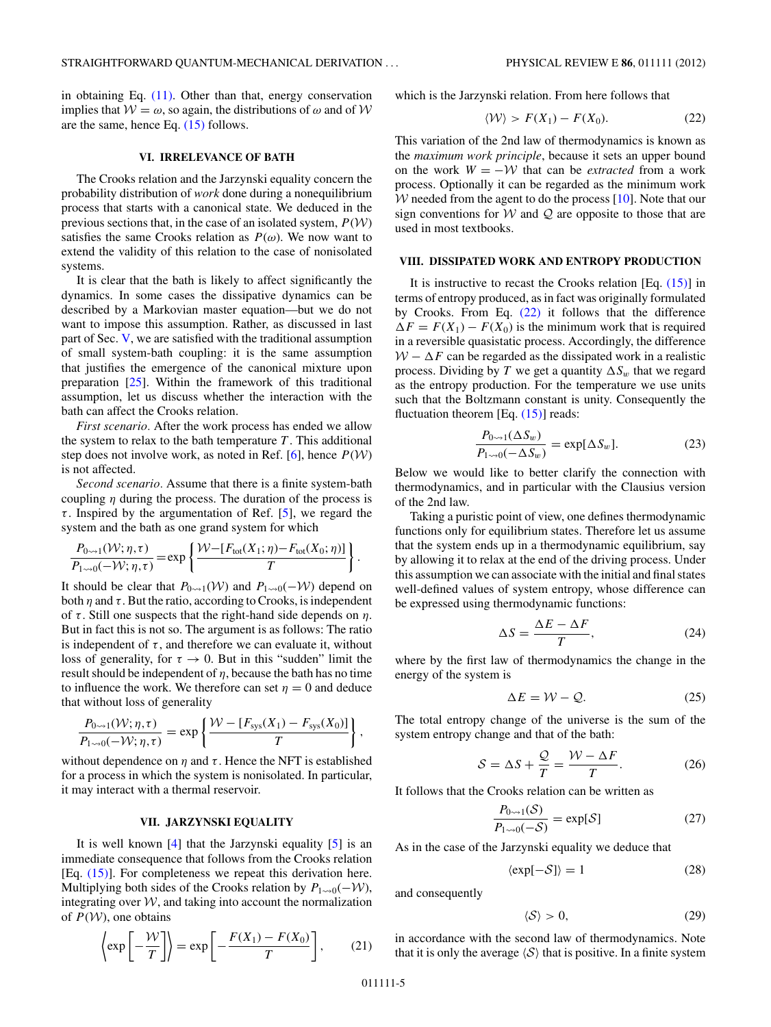in obtaining Eq. [\(11\).](#page-1-0) Other than that, energy conservation implies that  $W = \omega$ , so again, the distributions of  $\omega$  and of W are the same, hence Eq. [\(15\)](#page-2-0) follows.

### **VI. IRRELEVANCE OF BATH**

The Crooks relation and the Jarzynski equality concern the probability distribution of *work* done during a nonequilibrium process that starts with a canonical state. We deduced in the previous sections that, in the case of an isolated system,  $P(W)$ satisfies the same Crooks relation as  $P(\omega)$ . We now want to extend the validity of this relation to the case of nonisolated systems.

It is clear that the bath is likely to affect significantly the dynamics. In some cases the dissipative dynamics can be described by a Markovian master equation—but we do not want to impose this assumption. Rather, as discussed in last part of Sec. [V,](#page-2-0) we are satisfied with the traditional assumption of small system-bath coupling: it is the same assumption that justifies the emergence of the canonical mixture upon preparation  $[25]$ . Within the framework of this traditional assumption, let us discuss whether the interaction with the bath can affect the Crooks relation.

*First scenario.* After the work process has ended we allow the system to relax to the bath temperature  $T$ . This additional step does not involve work, as noted in Ref. [\[6\]](#page-5-0), hence  $P(\mathcal{W})$ is not affected.

*Second scenario.* Assume that there is a finite system-bath coupling *η* during the process. The duration of the process is *τ* . Inspired by the argumentation of Ref. [\[5\]](#page-5-0), we regard the system and the bath as one grand system for which

$$
\frac{P_{0\leadsto 1}(W;\eta,\tau)}{P_{1\leadsto 0}(-W;\eta,\tau)} = \exp\left\{\frac{\mathcal{W}-[F_{\text{tot}}(X_1;\eta)-F_{\text{tot}}(X_0;\eta)]}{T}\right\}.
$$

It should be clear that  $P_{0 \rightarrow 1}(\mathcal{W})$  and  $P_{1 \rightarrow 0}(-\mathcal{W})$  depend on both  $\eta$  and  $\tau$ . But the ratio, according to Crooks, is independent of *τ* . Still one suspects that the right-hand side depends on *η*. But in fact this is not so. The argument is as follows: The ratio is independent of  $\tau$ , and therefore we can evaluate it, without loss of generality, for  $\tau \to 0$ . But in this "sudden" limit the result should be independent of  $\eta$ , because the bath has no time to influence the work. We therefore can set  $\eta = 0$  and deduce that without loss of generality

$$
\frac{P_{0\leadsto 1}(\mathcal{W};\eta,\tau)}{P_{1\leadsto 0}(-\mathcal{W};\eta,\tau)} = \exp\left\{\frac{\mathcal{W}-[F_{\rm sys}(X_1)-F_{\rm sys}(X_0)]}{T}\right\},\,
$$

without dependence on  $\eta$  and  $\tau$ . Hence the NFT is established for a process in which the system is nonisolated. In particular, it may interact with a thermal reservoir.

### **VII. JARZYNSKI EQUALITY**

It is well known [\[4\]](#page-5-0) that the Jarzynski equality [\[5\]](#page-5-0) is an immediate consequence that follows from the Crooks relation [Eq. [\(15\)\]](#page-2-0). For completeness we repeat this derivation here. Multiplying both sides of the Crooks relation by  $P_{1\rightsquigarrow 0}(-W)$ , integrating over  $W$ , and taking into account the normalization of  $P(W)$ , one obtains

$$
\left\langle \exp\left[-\frac{\mathcal{W}}{T}\right]\right\rangle = \exp\left[-\frac{F(X_1) - F(X_0)}{T}\right],\qquad(21)
$$

which is the Jarzynski relation. From here follows that

$$
\langle \mathcal{W} \rangle > F(X_1) - F(X_0). \tag{22}
$$

This variation of the 2nd law of thermodynamics is known as the *maximum work principle*, because it sets an upper bound on the work  $W = -W$  that can be *extracted* from a work process. Optionally it can be regarded as the minimum work  $W$  needed from the agent to do the process  $[10]$ . Note that our sign conventions for  $W$  and  $Q$  are opposite to those that are used in most textbooks.

# **VIII. DISSIPATED WORK AND ENTROPY PRODUCTION**

It is instructive to recast the Crooks relation  $[Eq. (15)]$  $[Eq. (15)]$  in terms of entropy produced, as in fact was originally formulated by Crooks. From Eq. (22) it follows that the difference  $\Delta F = F(X_1) - F(X_0)$  is the minimum work that is required in a reversible quasistatic process. Accordingly, the difference  $W - \Delta F$  can be regarded as the dissipated work in a realistic process. Dividing by *T* we get a quantity  $\Delta S_w$  that we regard as the entropy production. For the temperature we use units such that the Boltzmann constant is unity. Consequently the fluctuation theorem  $[Eq. (15)]$  $[Eq. (15)]$  reads:

$$
\frac{P_{0\leadsto 1}(\Delta S_w)}{P_{1\leadsto 0}(-\Delta S_w)} = \exp[\Delta S_w].\tag{23}
$$

Below we would like to better clarify the connection with thermodynamics, and in particular with the Clausius version of the 2nd law.

Taking a puristic point of view, one defines thermodynamic functions only for equilibrium states. Therefore let us assume that the system ends up in a thermodynamic equilibrium, say by allowing it to relax at the end of the driving process. Under this assumption we can associate with the initial and final states well-defined values of system entropy, whose difference can be expressed using thermodynamic functions:

$$
\Delta S = \frac{\Delta E - \Delta F}{T},\tag{24}
$$

where by the first law of thermodynamics the change in the energy of the system is

$$
\Delta E = \mathcal{W} - \mathcal{Q}.\tag{25}
$$

The total entropy change of the universe is the sum of the system entropy change and that of the bath:

$$
S = \Delta S + \frac{Q}{T} = \frac{W - \Delta F}{T}.
$$
 (26)

It follows that the Crooks relation can be written as

$$
\frac{P_{0\leadsto1}(\mathcal{S})}{P_{1\leadsto0}(-\mathcal{S})} = \exp[\mathcal{S}]
$$
 (27)

As in the case of the Jarzynski equality we deduce that

$$
\langle \exp[-S] \rangle = 1 \tag{28}
$$

and consequently

$$
\langle \mathcal{S} \rangle > 0, \tag{29}
$$

in accordance with the second law of thermodynamics. Note that it is only the average  $\langle S \rangle$  that is positive. In a finite system